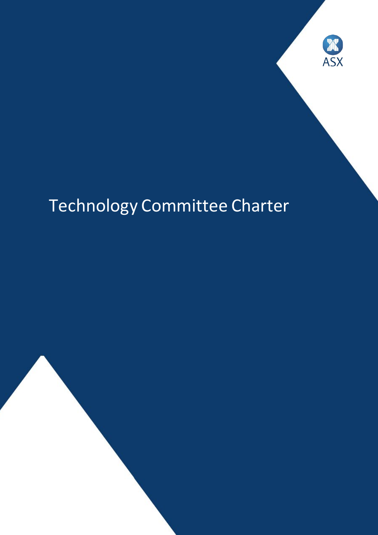

# Technology Committee Charter

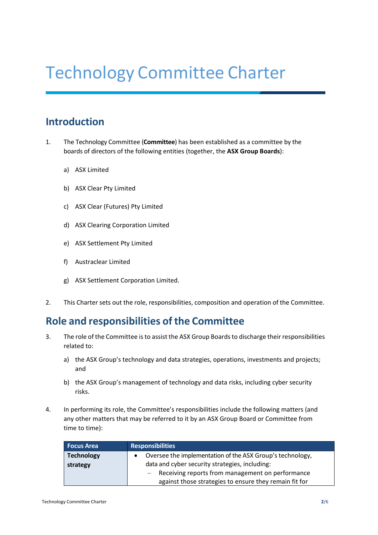## Technology Committee Charter

## **Introduction**

- 1. The Technology Committee (**Committee**) has been established as a committee by the boards of directors of the following entities (together, the **ASX Group Boards**):
	- a) ASX Limited
	- b) ASX Clear Pty Limited
	- c) ASX Clear (Futures) Pty Limited
	- d) ASX Clearing Corporation Limited
	- e) ASX Settlement Pty Limited
	- f) Austraclear Limited
	- g) ASX Settlement Corporation Limited.
- 2. This Charter sets out the role, responsibilities, composition and operation of the Committee.

## **Role** and responsibilities of the Committee

- 3. The role of the Committee is to assist the ASX Group Boards to discharge their responsibilities related to:
	- a) the ASX Group's technology and data strategies, operations, investments and projects; and
	- b) the ASX Group's management of technology and data risks, including cyber security risks.
- 4. In performing its role, the Committee's responsibilities include the following matters (and any other matters that may be referred to it by an ASX Group Board or Committee from time to time):

| <b>Focus Area</b> | <b>Responsibilities</b>                                   |
|-------------------|-----------------------------------------------------------|
| <b>Technology</b> | Oversee the implementation of the ASX Group's technology, |
| strategy          | data and cyber security strategies, including:            |
|                   | - Receiving reports from management on performance        |
|                   | against those strategies to ensure they remain fit for    |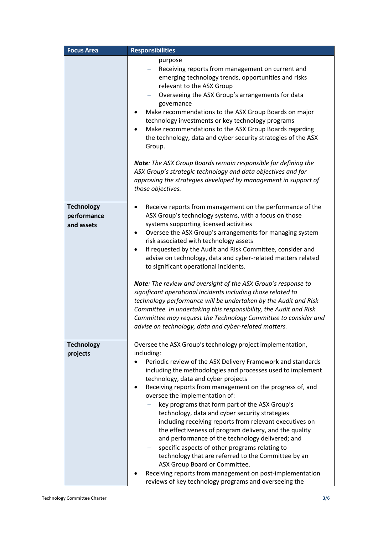| <b>Focus Area</b>             | <b>Responsibilities</b>                                                                                                 |
|-------------------------------|-------------------------------------------------------------------------------------------------------------------------|
|                               | purpose<br>Receiving reports from management on current and                                                             |
|                               | emerging technology trends, opportunities and risks<br>relevant to the ASX Group                                        |
|                               | Overseeing the ASX Group's arrangements for data                                                                        |
|                               | governance                                                                                                              |
|                               | Make recommendations to the ASX Group Boards on major<br>technology investments or key technology programs              |
|                               | Make recommendations to the ASX Group Boards regarding                                                                  |
|                               | the technology, data and cyber security strategies of the ASX<br>Group.                                                 |
|                               | Note: The ASX Group Boards remain responsible for defining the                                                          |
|                               | ASX Group's strategic technology and data objectives and for                                                            |
|                               | approving the strategies developed by management in support of<br>those objectives.                                     |
| <b>Technology</b>             | Receive reports from management on the performance of the                                                               |
| performance                   | ASX Group's technology systems, with a focus on those                                                                   |
| and assets                    | systems supporting licensed activities                                                                                  |
|                               | Oversee the ASX Group's arrangements for managing system<br>٠<br>risk associated with technology assets                 |
|                               | If requested by the Audit and Risk Committee, consider and<br>$\bullet$                                                 |
|                               | advise on technology, data and cyber-related matters related                                                            |
|                               | to significant operational incidents.                                                                                   |
|                               | Note: The review and oversight of the ASX Group's response to                                                           |
|                               | significant operational incidents including those related to                                                            |
|                               | technology performance will be undertaken by the Audit and Risk                                                         |
|                               | Committee. In undertaking this responsibility, the Audit and Risk                                                       |
|                               | Committee may request the Technology Committee to consider and<br>advise on technology, data and cyber-related matters. |
|                               |                                                                                                                         |
| <b>Technology</b><br>projects | Oversee the ASX Group's technology project implementation,<br>including:                                                |
|                               | Periodic review of the ASX Delivery Framework and standards                                                             |
|                               | including the methodologies and processes used to implement                                                             |
|                               | technology, data and cyber projects                                                                                     |
|                               | Receiving reports from management on the progress of, and<br>oversee the implementation of:                             |
|                               | key programs that form part of the ASX Group's                                                                          |
|                               | technology, data and cyber security strategies                                                                          |
|                               | including receiving reports from relevant executives on                                                                 |
|                               | the effectiveness of program delivery, and the quality<br>and performance of the technology delivered; and              |
|                               | specific aspects of other programs relating to                                                                          |
|                               | technology that are referred to the Committee by an                                                                     |
|                               | ASX Group Board or Committee.                                                                                           |
|                               | Receiving reports from management on post-implementation                                                                |
|                               | reviews of key technology programs and overseeing the                                                                   |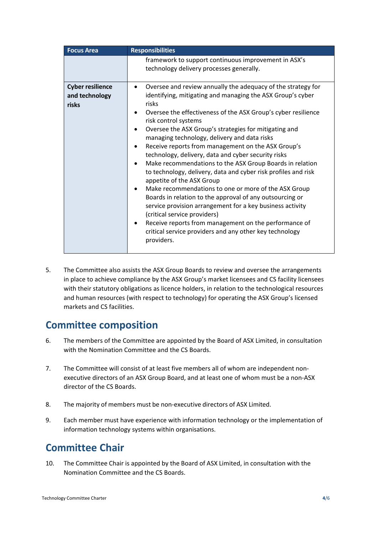| <b>Focus Area</b>                                  | <b>Responsibilities</b>                                                                                                                                                                                                                                                                                                                                                                                                                                                                                                                                                                                                                                                                                                                                                                                                                                                                                                                                          |
|----------------------------------------------------|------------------------------------------------------------------------------------------------------------------------------------------------------------------------------------------------------------------------------------------------------------------------------------------------------------------------------------------------------------------------------------------------------------------------------------------------------------------------------------------------------------------------------------------------------------------------------------------------------------------------------------------------------------------------------------------------------------------------------------------------------------------------------------------------------------------------------------------------------------------------------------------------------------------------------------------------------------------|
|                                                    | framework to support continuous improvement in ASX's<br>technology delivery processes generally.                                                                                                                                                                                                                                                                                                                                                                                                                                                                                                                                                                                                                                                                                                                                                                                                                                                                 |
| <b>Cyber resilience</b><br>and technology<br>risks | Oversee and review annually the adequacy of the strategy for<br>identifying, mitigating and managing the ASX Group's cyber<br>risks<br>Oversee the effectiveness of the ASX Group's cyber resilience<br>risk control systems<br>Oversee the ASX Group's strategies for mitigating and<br>managing technology, delivery and data risks<br>Receive reports from management on the ASX Group's<br>technology, delivery, data and cyber security risks<br>Make recommendations to the ASX Group Boards in relation<br>to technology, delivery, data and cyber risk profiles and risk<br>appetite of the ASX Group<br>Make recommendations to one or more of the ASX Group<br>Boards in relation to the approval of any outsourcing or<br>service provision arrangement for a key business activity<br>(critical service providers)<br>Receive reports from management on the performance of<br>critical service providers and any other key technology<br>providers. |

5. The Committee also assists the ASX Group Boards to review and oversee the arrangements in place to achieve compliance by the ASX Group's market licensees and CS facility licensees with their statutory obligations as licence holders, in relation to the technological resources and human resources (with respect to technology) for operating the ASX Group's licensed markets and CS facilities.

## **Committee composition**

- 6. The members of the Committee are appointed by the Board of ASX Limited, in consultation with the Nomination Committee and the CS Boards.
- 7. The Committee will consist of at least five members all of whom are independent nonexecutive directors of an ASX Group Board, and at least one of whom must be a non-ASX director of the CS Boards.
- 8. The majority of members must be non-executive directors of ASX Limited.
- 9. Each member must have experience with information technology or the implementation of information technology systems within organisations.

## **Committee Chair**

10. The Committee Chair is appointed by the Board of ASX Limited, in consultation with the Nomination Committee and the CS Boards.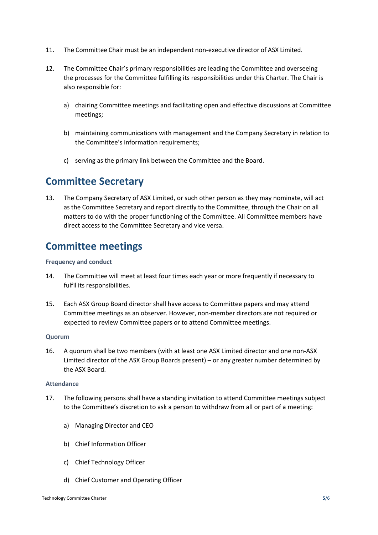- 11. The Committee Chair must be an independent non-executive director of ASX Limited.
- 12. The Committee Chair's primary responsibilities are leading the Committee and overseeing the processes for the Committee fulfilling its responsibilities under this Charter. The Chair is also responsible for:
	- a) chairing Committee meetings and facilitating open and effective discussions at Committee meetings;
	- b) maintaining communications with management and the Company Secretary in relation to the Committee's information requirements;
	- c) serving as the primary link between the Committee and the Board.

## **Committee Secretary**

13. The Company Secretary of ASX Limited, or such other person as they may nominate, will act as the Committee Secretary and report directly to the Committee, through the Chair on all matters to do with the proper functioning of the Committee. All Committee members have direct access to the Committee Secretary and vice versa.

## **Committee meetings**

#### **Frequency and conduct**

- 14. The Committee will meet at least four times each year or more frequently if necessary to fulfil its responsibilities.
- 15. Each ASX Group Board director shall have access to Committee papers and may attend Committee meetings as an observer. However, non-member directors are not required or expected to review Committee papers or to attend Committee meetings.

#### **Quorum**

16. A quorum shall be two members (with at least one ASX Limited director and one non-ASX Limited director of the ASX Group Boards present) – or any greater number determined by the ASX Board.

#### **Attendance**

- 17. The following persons shall have a standing invitation to attend Committee meetings subject to the Committee's discretion to ask a person to withdraw from all or part of a meeting:
	- a) Managing Director and CEO
	- b) Chief Information Officer
	- c) Chief Technology Officer
	- d) Chief Customer and Operating Officer